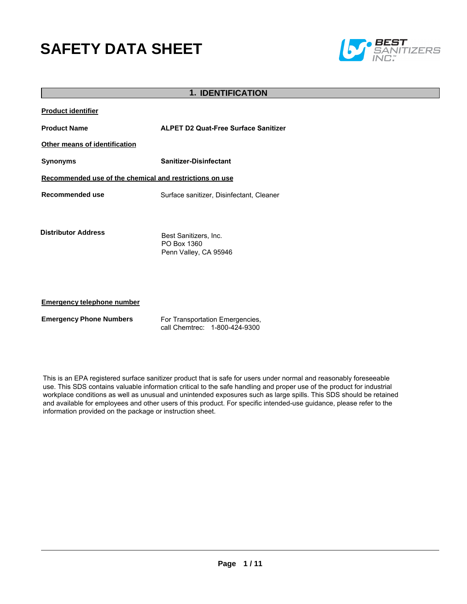# **SAFETY DATA SHEET**



|                                                         | <b>1. IDENTIFICATION</b>                                         |  |  |
|---------------------------------------------------------|------------------------------------------------------------------|--|--|
| <b>Product identifier</b>                               |                                                                  |  |  |
| <b>Product Name</b>                                     | <b>ALPET D2 Quat-Free Surface Sanitizer</b>                      |  |  |
| Other means of identification                           |                                                                  |  |  |
| <b>Synonyms</b>                                         | <b>Sanitizer-Disinfectant</b>                                    |  |  |
| Recommended use of the chemical and restrictions on use |                                                                  |  |  |
| Recommended use                                         | Surface sanitizer, Disinfectant, Cleaner                         |  |  |
| <b>Distributor Address</b>                              | Best Sanitizers, Inc.<br>PO Box 1360<br>Penn Valley, CA 95946    |  |  |
| <b>Emergency telephone number</b>                       |                                                                  |  |  |
| <b>Emergency Phone Numbers</b>                          | For Transportation Emergencies,<br>call Chemtrec: 1-800-424-9300 |  |  |

This is an EPA registered surface sanitizer product that is safe for users under normal and reasonably foreseeable use. This SDS contains valuable information critical to the safe handling and proper use of the product for industrial workplace conditions as well as unusual and unintended exposures such as large spills. This SDS should be retained and available for employees and other users of this product. For specific intended-use guidance, please refer to the information provided on the package or instruction sheet.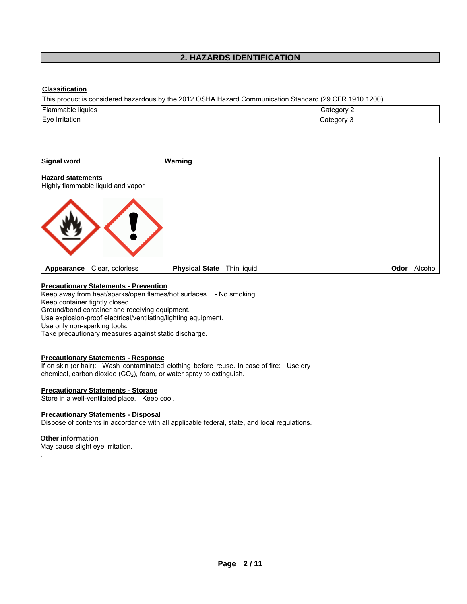# **2. HAZARDS IDENTIFICATION**

# **Classification**

This product is considered hazardous by the 2012 OSHA Hazard Communication Standard (29 CFR 1910.1200).

| Flan<br>liauids<br>Havit. | $-1 - 1$<br>.arc<br>. .corv |
|---------------------------|-----------------------------|
| Eve<br>irritation         | . .                         |



# **Precautionary Statements - Prevention**

Keep away from heat/sparks/open flames/hot surfaces. - No smoking. Keep container tightly closed. Ground/bond container and receiving equipment. Use explosion-proof electrical/ventilating/lighting equipment. Use only non-sparking tools.

Take precautionary measures against static discharge.

#### **Precautionary Statements - Response**

If on skin (or hair): Wash contaminated clothing before reuse. In case of fire: Use dry chemical, carbon dioxide  $(CO<sub>2</sub>)$ , foam, or water spray to extinguish.

# **Precautionary Statements - Storage**

Store in a well-ventilated place. Keep cool.

#### **Precautionary Statements - Disposal**

Dispose of contents in accordance with all applicable federal, state, and local regulations.

# **Other information**

.

May cause slight eye irritation.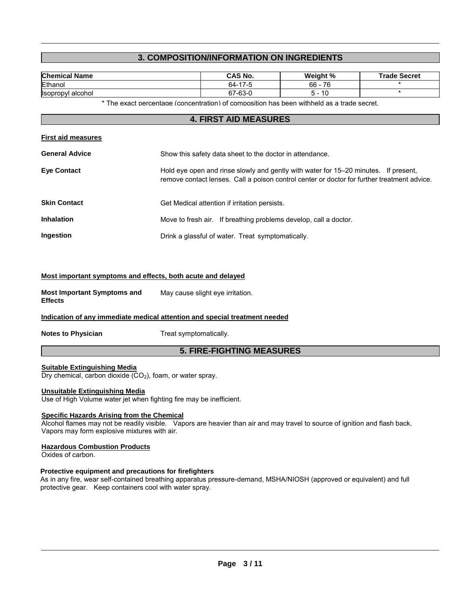# **3. COMPOSITION/INFORMATION ON INGREDIENTS**

| <b>Chemical Name</b> | <b>CAS No.</b> | Weight % | <b>Trade Secret</b> |
|----------------------|----------------|----------|---------------------|
| Ethanol              | 64-17-5        | 76<br>66 |                     |
| Isopropvl alcohol    | 67-63-0        | 10       |                     |
| $+ - -$              | .<br>$\cdots$  | .        |                     |

\* The exact percentage (concentration) of composition has been withheld as a trade secret.

# **4. FIRST AID MEASURES**

| <b>First aid measures</b> |                                                                                                                                                                                    |
|---------------------------|------------------------------------------------------------------------------------------------------------------------------------------------------------------------------------|
| <b>General Advice</b>     | Show this safety data sheet to the doctor in attendance.                                                                                                                           |
| <b>Eye Contact</b>        | Hold eye open and rinse slowly and gently with water for 15–20 minutes. If present,<br>remove contact lenses. Call a poison control center or doctor for further treatment advice. |
| <b>Skin Contact</b>       | Get Medical attention if irritation persists.                                                                                                                                      |
| <b>Inhalation</b>         | Move to fresh air. If breathing problems develop, call a doctor.                                                                                                                   |
| Ingestion                 | Drink a glassful of water. Treat symptomatically.                                                                                                                                  |

# **Most important symptoms and effects, both acute and delayed**

| <b>Most Important Symptoms and</b> | May cause slight eye irritation. |
|------------------------------------|----------------------------------|
| <b>Effects</b>                     |                                  |

#### **Indication of any immediate medical attention and special treatment needed**

**Notes to Physician Treat symptomatically.** 

### **5. FIRE-FIGHTING MEASURES**

#### **Suitable Extinguishing Media**

Dry chemical, carbon dioxide  $(CO<sub>2</sub>)$ , foam, or water spray.

#### **Unsuitable Extinguishing Media**

Use of High Volume water jet when fighting fire may be inefficient.

### **Specific Hazards Arising from the Chemical**

Alcohol flames may not be readily visible. Vapors are heavier than air and may travel to source of ignition and flash back. Vapors may form explosive mixtures with air.

#### **Hazardous Combustion Products**

Oxides of carbon.

#### **Protective equipment and precautions for firefighters**

As in any fire, wear self-contained breathing apparatus pressure-demand, MSHA/NIOSH (approved or equivalent) and full protective gear. Keep containers cool with water spray.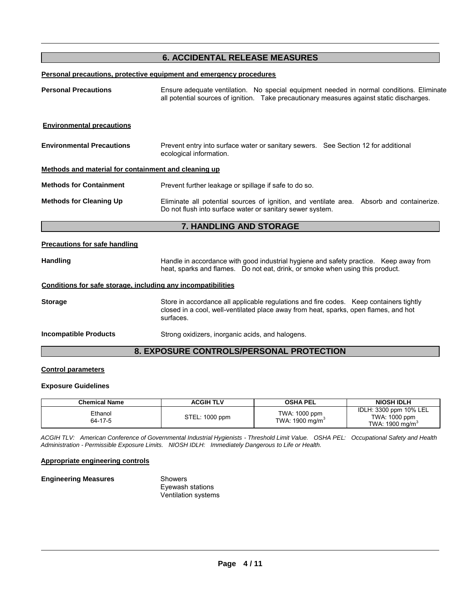# **6. ACCIDENTAL RELEASE MEASURES**

### **Personal precautions, protective equipment and emergency procedures**

| <b>Personal Precautions</b>                                  | Ensure adequate ventilation. No special equipment needed in normal conditions. Eliminate<br>all potential sources of ignition. Take precautionary measures against static discharges.       |  |  |  |
|--------------------------------------------------------------|---------------------------------------------------------------------------------------------------------------------------------------------------------------------------------------------|--|--|--|
| <b>Environmental precautions</b>                             |                                                                                                                                                                                             |  |  |  |
| <b>Environmental Precautions</b>                             | Prevent entry into surface water or sanitary sewers. See Section 12 for additional<br>ecological information.                                                                               |  |  |  |
| Methods and material for containment and cleaning up         |                                                                                                                                                                                             |  |  |  |
| <b>Methods for Containment</b>                               | Prevent further leakage or spillage if safe to do so.                                                                                                                                       |  |  |  |
| <b>Methods for Cleaning Up</b>                               | Eliminate all potential sources of ignition, and ventilate area. Absorb and containerize.<br>Do not flush into surface water or sanitary sewer system.                                      |  |  |  |
| 7. HANDLING AND STORAGE                                      |                                                                                                                                                                                             |  |  |  |
| <b>Precautions for safe handling</b>                         |                                                                                                                                                                                             |  |  |  |
| <b>Handling</b>                                              | Handle in accordance with good industrial hygiene and safety practice. Keep away from<br>heat, sparks and flames. Do not eat, drink, or smoke when using this product.                      |  |  |  |
| Conditions for safe storage, including any incompatibilities |                                                                                                                                                                                             |  |  |  |
| <b>Storage</b>                                               | Store in accordance all applicable regulations and fire codes. Keep containers tightly<br>closed in a cool, well-ventilated place away from heat, sparks, open flames, and hot<br>surfaces. |  |  |  |
| <b>Incompatible Products</b>                                 | Strong oxidizers, inorganic acids, and halogens.                                                                                                                                            |  |  |  |
| <b>8. EXPOSURE CONTROLS/PERSONAL PROTECTION</b>              |                                                                                                                                                                                             |  |  |  |

# **Control parameters**

# **Exposure Guidelines**

| <b>Chemical Name</b> | <b>ACGIH TLV</b> | <b>OSHA PEL</b>                              | <b>NIOSH IDLH</b>                                                      |
|----------------------|------------------|----------------------------------------------|------------------------------------------------------------------------|
| Ethanol<br>64-17-5   | STEL: 1000 ppm   | TWA: 1000 ppm<br>TWA: 1900 mg/m <sup>3</sup> | IDLH: 3300 ppm 10% LEL<br>TWA: 1000 ppm<br>TWA: 1900 mg/m <sup>3</sup> |

*ACGIH TLV: American Conference of Governmental Industrial Hygienists - Threshold Limit Value. OSHA PEL: Occupational Safety and Health Administration - Permissible Exposure Limits. NIOSH IDLH: Immediately Dangerous to Life or Health.* 

#### **Appropriate engineering controls**

| <b>Engineering Measures</b> | Showers             |
|-----------------------------|---------------------|
|                             | Eyewash stations    |
|                             | Ventilation systems |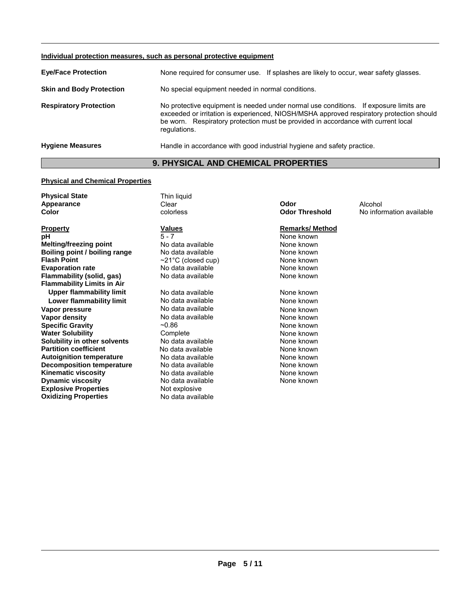| Individual protection measures, such as personal protective equipment |                                                                                                                                                                                                                                                                                        |  |  |
|-----------------------------------------------------------------------|----------------------------------------------------------------------------------------------------------------------------------------------------------------------------------------------------------------------------------------------------------------------------------------|--|--|
| <b>Eye/Face Protection</b>                                            | None required for consumer use. If splashes are likely to occur, wear safety glasses.                                                                                                                                                                                                  |  |  |
| <b>Skin and Body Protection</b>                                       | No special equipment needed in normal conditions.                                                                                                                                                                                                                                      |  |  |
| <b>Respiratory Protection</b>                                         | No protective equipment is needed under normal use conditions. If exposure limits are<br>exceeded or irritation is experienced, NIOSH/MSHA approved respiratory protection should<br>be worn. Respiratory protection must be provided in accordance with current local<br>regulations. |  |  |
| <b>Hygiene Measures</b>                                               | Handle in accordance with good industrial hygiene and safety practice.                                                                                                                                                                                                                 |  |  |

# **9. PHYSICAL AND CHEMICAL PROPERTIES**

# **Physical and Chemical Properties**

| <b>Physical State</b>             | Thin liquid              |                       |                          |
|-----------------------------------|--------------------------|-----------------------|--------------------------|
| Appearance                        | Clear                    | Odor                  | Alcohol                  |
| Color                             | colorless                | <b>Odor Threshold</b> | No information available |
| <b>Property</b>                   | Values                   | <b>Remarks/Method</b> |                          |
| рH                                | $5 - 7$                  | None known            |                          |
| <b>Melting/freezing point</b>     | No data available        | None known            |                          |
| Boiling point / boiling range     | No data available        | None known            |                          |
| <b>Flash Point</b>                | $\sim$ 21°C (closed cup) | None known            |                          |
| <b>Evaporation rate</b>           | No data available        | None known            |                          |
| Flammability (solid, gas)         | No data available        | None known            |                          |
| <b>Flammability Limits in Air</b> |                          |                       |                          |
| <b>Upper flammability limit</b>   | No data available        | None known            |                          |
| Lower flammability limit          | No data available        | None known            |                          |
| Vapor pressure                    | No data available        | None known            |                          |
| Vapor density                     | No data available        | None known            |                          |
| <b>Specific Gravity</b>           | $-0.86$                  | None known            |                          |
| <b>Water Solubility</b>           | Complete                 | None known            |                          |
| Solubility in other solvents      | No data available        | None known            |                          |
| <b>Partition coefficient</b>      | No data available        | None known            |                          |
| <b>Autoignition temperature</b>   | No data available        | None known            |                          |
| <b>Decomposition temperature</b>  | No data available        | None known            |                          |
| <b>Kinematic viscosity</b>        | No data available        | None known            |                          |
| <b>Dynamic viscosity</b>          | No data available        | None known            |                          |
| <b>Explosive Properties</b>       | Not explosive            |                       |                          |
| <b>Oxidizing Properties</b>       | No data available        |                       |                          |
|                                   |                          |                       |                          |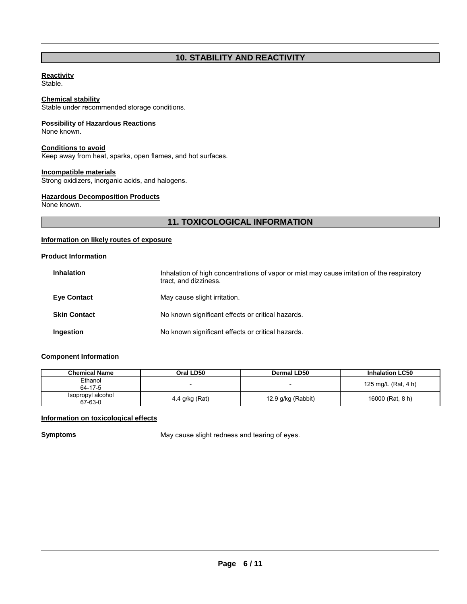# **10. STABILITY AND REACTIVITY**

### **Reactivity**

Stable.

# **Chemical stability**

Stable under recommended storage conditions.

# **Possibility of Hazardous Reactions**

None known.

#### **Conditions to avoid**

Keep away from heat, sparks, open flames, and hot surfaces.

# **Incompatible materials**

Strong oxidizers, inorganic acids, and halogens.

# **Hazardous Decomposition Products**

None known.

# **11. TOXICOLOGICAL INFORMATION**

# **Information on likely routes of exposure**

# **Product Information**

| <b>Inhalation</b>   | Inhalation of high concentrations of vapor or mist may cause irritation of the respiratory<br>tract, and dizziness. |
|---------------------|---------------------------------------------------------------------------------------------------------------------|
| <b>Eye Contact</b>  | May cause slight irritation.                                                                                        |
| <b>Skin Contact</b> | No known significant effects or critical hazards.                                                                   |
| Ingestion           | No known significant effects or critical hazards.                                                                   |

# **Component Information**

| Chemical Name                | Oral LD50      | <b>Dermal LD50</b> | <b>Inhalation LC50</b> |
|------------------------------|----------------|--------------------|------------------------|
| Ethanol<br>64-17-5           |                | -                  | 125 mg/L (Rat, 4 h)    |
| Isopropyl alcohol<br>67-63-0 | 4.4 g/kg (Rat) | 12.9 g/kg (Rabbit) | 16000 (Rat, 8 h)       |

# **Information on toxicological effects**

**Symptoms May cause slight redness and tearing of eyes.**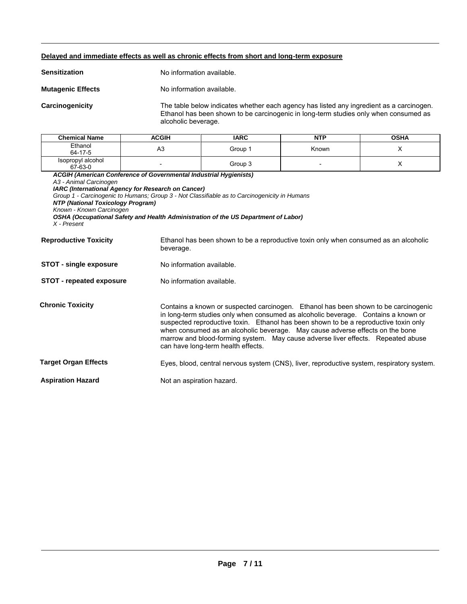#### **Delayed and immediate effects as well as chronic effects from short and long-term exposure**

**Mutagenic Effects No information available.** 

**Carcinogenicity** The table below indicates whether each agency has listed any ingredient as a carcinogen. Ethanol has been shown to be carcinogenic in long-term studies only when consumed as alcoholic beverage.

| <b>Chemical Name</b>                                                     | <b>ACGIH</b> | <b>IARC</b> | NTP   | <b>OSHA</b> |
|--------------------------------------------------------------------------|--------------|-------------|-------|-------------|
| Ethanol<br>64-17-5                                                       | A3           | Group 1     | Known |             |
| Isopropyl alcohol<br>67-63-0                                             |              | Group 3     |       |             |
| <b>ACGIH (American Conference of Governmental Industrial Hygienists)</b> |              |             |       |             |

*A3 - Animal Carcinogen* 

*IARC (International Agency for Research on Cancer)*

*Group 1 - Carcinogenic to Humans; Group 3 - Not Classifiable as to Carcinogenicity in Humans* 

*NTP (National Toxicology Program)*

*Known - Known Carcinogen* 

*OSHA (Occupational Safety and Health Administration of the US Department of Labor) X - Present* 

| <b>Reproductive Toxicity</b>    | Ethanol has been shown to be a reproductive toxin only when consumed as an alcoholic<br>beverage.                                                                                                                                                                                                                                                                                                                                                                            |  |  |
|---------------------------------|------------------------------------------------------------------------------------------------------------------------------------------------------------------------------------------------------------------------------------------------------------------------------------------------------------------------------------------------------------------------------------------------------------------------------------------------------------------------------|--|--|
| <b>STOT - single exposure</b>   | No information available.                                                                                                                                                                                                                                                                                                                                                                                                                                                    |  |  |
| <b>STOT - repeated exposure</b> | No information available.                                                                                                                                                                                                                                                                                                                                                                                                                                                    |  |  |
| <b>Chronic Toxicity</b>         | Contains a known or suspected carcinogen. Ethanol has been shown to be carcinogenic<br>in long-term studies only when consumed as alcoholic beverage. Contains a known or<br>suspected reproductive toxin. Ethanol has been shown to be a reproductive toxin only<br>when consumed as an alcoholic beverage. May cause adverse effects on the bone<br>marrow and blood-forming system. May cause adverse liver effects. Repeated abuse<br>can have long-term health effects. |  |  |
| <b>Target Organ Effects</b>     | Eyes, blood, central nervous system (CNS), liver, reproductive system, respiratory system.                                                                                                                                                                                                                                                                                                                                                                                   |  |  |
| <b>Aspiration Hazard</b>        | Not an aspiration hazard.                                                                                                                                                                                                                                                                                                                                                                                                                                                    |  |  |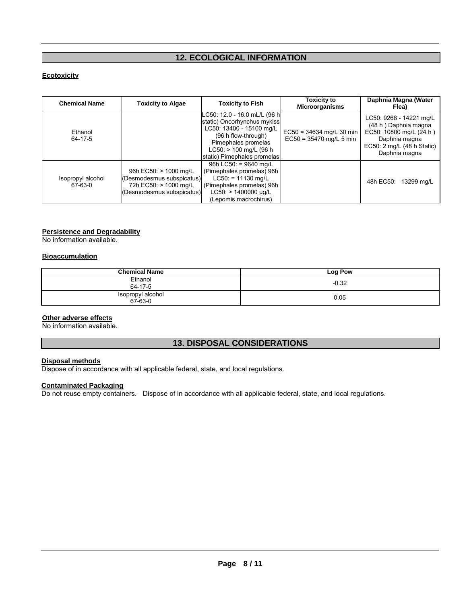# **12. ECOLOGICAL INFORMATION**

# **Ecotoxicity**

| <b>Chemical Name</b>         | <b>Toxicity to Algae</b>                                                                                 | <b>Toxicity to Fish</b>                                                                                                                                                                            | <b>Toxicity to</b><br><b>Microorganisms</b>           | Daphnia Magna (Water<br>Flea)                                                                                                                        |
|------------------------------|----------------------------------------------------------------------------------------------------------|----------------------------------------------------------------------------------------------------------------------------------------------------------------------------------------------------|-------------------------------------------------------|------------------------------------------------------------------------------------------------------------------------------------------------------|
| Ethanol<br>64-17-5           |                                                                                                          | LC50: 12.0 - 16.0 mL/L (96 h <br>static) Oncorhynchus mykiss<br>LC50: 13400 - 15100 mg/L<br>(96 h flow-through)<br>Pimephales promelas<br>$LC50:$ > 100 mg/L (96 h)<br>static) Pimephales promelas | EC50 = 34634 mg/L 30 min<br>$EC50 = 35470$ mg/L 5 min | LC50: 9268 - 14221 mg/L<br>(48 h) Daphnia magna<br>EC50: 10800 mg/L (24 h)<br>Daphnia magna<br>EC50: $2 \text{ mg/L}$ (48 h Static)<br>Daphnia magna |
| Isopropyl alcohol<br>67-63-0 | 96h EC50: > 1000 mg/L<br>(Desmodesmus subspicatus)<br>72h EC50: > 1000 mg/L<br>(Desmodesmus subspicatus) | 96h LC50: = $9640$ mg/L<br>(Pimephales promelas) 96h<br>$LC50: = 11130$ mg/L<br>(Pimephales promelas) 96h<br>$LC50:$ > 1400000 µg/L<br>(Lepomis macrochirus)                                       |                                                       | 48h EC50:<br>13299 mg/L                                                                                                                              |

#### **Persistence and Degradability**

No information available.

# **Bioaccumulation**

| <b>Chemical Name</b>         | Log Pow |
|------------------------------|---------|
| Ethanol<br>64-17-5           | $-0.32$ |
| Isopropyl alcohol<br>67-63-0 | 0.05    |

# **Other adverse effects**

No information available.

# **13. DISPOSAL CONSIDERATIONS**

# **Disposal methods**

Dispose of in accordance with all applicable federal, state, and local regulations.

# **Contaminated Packaging**

Do not reuse empty containers. Dispose of in accordance with all applicable federal, state, and local regulations.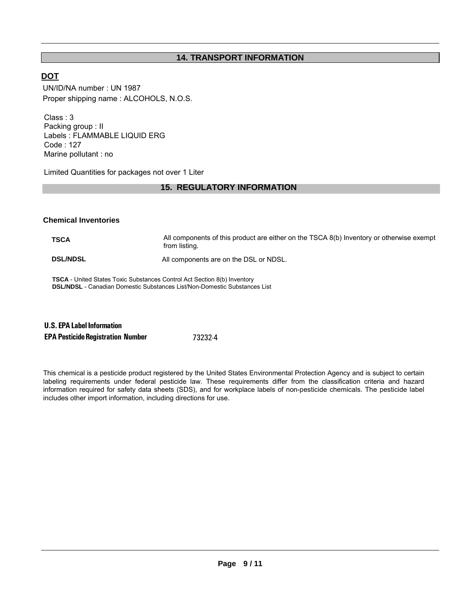# **14. TRANSPORT INFORMATION**

# **DOT**

UN/ID/NA number : UN 1987 Proper shipping name : ALCOHOLS, N.O.S.

Class : 3 Packing group : II Labels : FLAMMABLE LIQUID ERG Code : 127 Marine pollutant : no

Limited Quantities for packages not over 1 Liter

# **15. REGULATORY INFORMATION**

# **Chemical Inventories**

**TSCA** All components of this product are either on the TSCA 8(b) Inventory or otherwise exempt from listing. **DSL/NDSL All components are on the DSL or NDSL.** 

**TSCA** - United States Toxic Substances Control Act Section 8(b) Inventory **DSL/NDSL** - Canadian Domestic Substances List/Non-Domestic Substances List

| <b>U.S. EPA Label Information</b>        |         |
|------------------------------------------|---------|
| <b>EPA Pesticide Registration Number</b> | 73232-4 |

This chemical is a pesticide product registered by the United States Environmental Protection Agency and is subject to certain labeling requirements under federal pesticide law. These requirements differ from the classification criteria and hazard information required for safety data sheets (SDS), and for workplace labels of non-pesticide chemicals. The pesticide label includes other import information, including directions for use.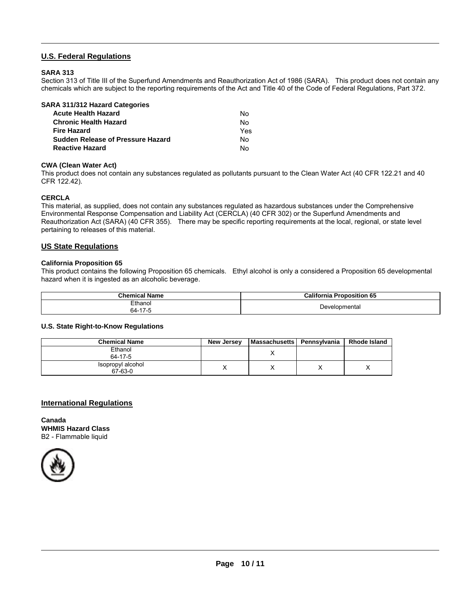# **U.S. Federal Regulations**

# **SARA 313**

Section 313 of Title III of the Superfund Amendments and Reauthorization Act of 1986 (SARA). This product does not contain any chemicals which are subject to the reporting requirements of the Act and Title 40 of the Code of Federal Regulations, Part 372.

| SARA 311/312 Hazard Categories           |     |
|------------------------------------------|-----|
| <b>Acute Health Hazard</b>               | N٥  |
| <b>Chronic Health Hazard</b>             | No  |
| <b>Fire Hazard</b>                       | Yes |
| <b>Sudden Release of Pressure Hazard</b> | No  |
| <b>Reactive Hazard</b>                   | N٥  |

### **CWA (Clean Water Act)**

This product does not contain any substances regulated as pollutants pursuant to the Clean Water Act (40 CFR 122.21 and 40 CFR 122.42).

### **CERCLA**

This material, as supplied, does not contain any substances regulated as hazardous substances under the Comprehensive Environmental Response Compensation and Liability Act (CERCLA) (40 CFR 302) or the Superfund Amendments and Reauthorization Act (SARA) (40 CFR 355). There may be specific reporting requirements at the local, regional, or state level pertaining to releases of this material.

### **US State Regulations**

#### **California Proposition 65**

This product contains the following Proposition 65 chemicals. Ethyl alcohol is only a considered a Proposition 65 developmental hazard when it is ingested as an alcoholic beverage.

| <b>Chemical Name</b>                   | California F<br>Proposition 65 |
|----------------------------------------|--------------------------------|
| Ethanol                                | Developmental                  |
| 64-17-5<br>$\sim$ $\sim$ $\sim$ $\sim$ |                                |

#### **U.S. State Right-to-Know Regulations**

| <b>Chemical Name</b>         | New Jersey | <b>Massachusetts</b> | Pennsvlvania | <b>Rhode Island</b> |
|------------------------------|------------|----------------------|--------------|---------------------|
| Ethanol<br>64-17-5           |            |                      |              |                     |
| Isopropyl alcohol<br>67-63-0 |            |                      |              | ↗                   |

# **International Regulations**

**Canada WHMIS Hazard Class** B2 - Flammable liquid